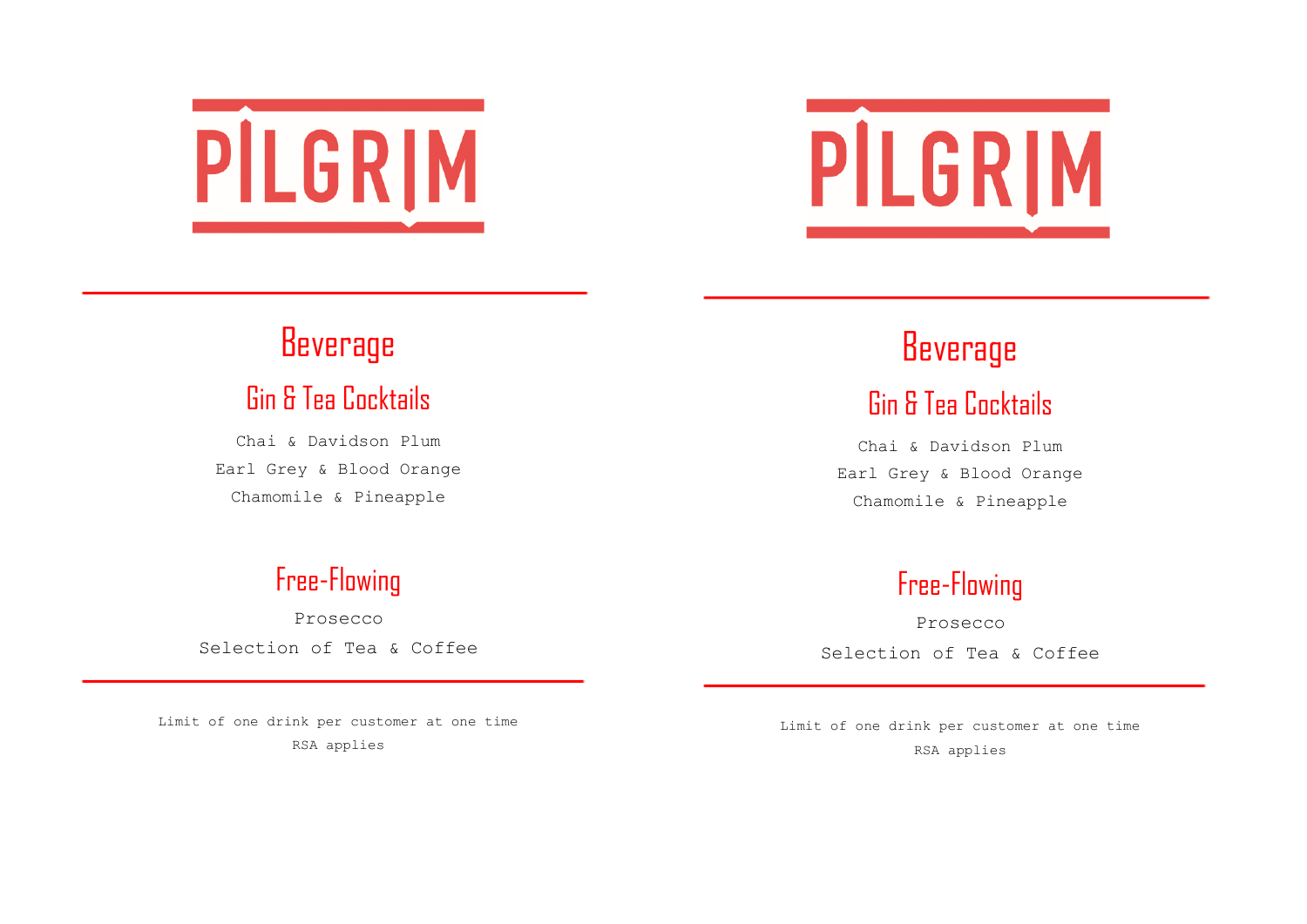# PILGRIM



## Beverage

#### Gin & Tea Cocktails

Chai & Davidson Plum Earl Grey & Blood Orange Chamomile & Pineapple

#### Free-Flowing

Prosecco Selection of Tea & Coffee

Limit of one drink per customer at one time RSA applies

## Beverage

### Gin & Tea Cocktails

Chai & Davidson Plum Earl Grey & Blood Orange Chamomile & Pineapple

### Free-Flowing

Prosecco Selection of Tea & Coffee

Limit of one drink per customer at one time RSA applies